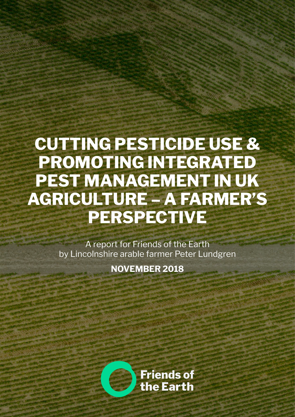# **CUTTING PESTICIDE USE & PROMOTING INTEGRATED PEST MANAGEMENT IN UK AGRICULTURE – A FARMER'S PERSPECTIVE**

A report for Friends of the Earth by Lincolnshire arable farmer Peter Lundgren

**NOVEMBER 2018**

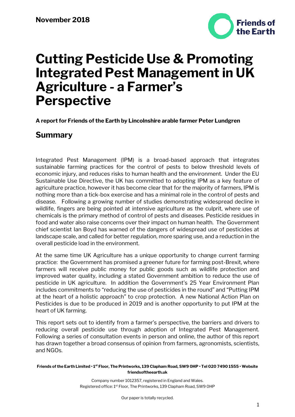

**A report for Friends of the Earth by Lincolnshire arable farmer Peter Lundgren**

## **Summary**

Integrated Pest Management (IPM) is a broad-based approach that integrates sustainable farming practices for the control of pests to below threshold levels of economic injury, and reduces risks to human health and the environment. Under the EU Sustainable Use Directive, the UK has committed to adopting IPM as a key feature of agriculture practice, however it has become clear that for the majority of farmers, IPM is nothing more than a tick-box exercise and has a minimal role in the control of pests and disease. Following a growing number of studies demonstrating widespread decline in wildlife, fingers are being pointed at intensive agriculture as the culprit, where use of chemicals is the primary method of control of pests and diseases. Pesticide residues in food and water also raise concerns over their impact on human health. The Government chief scientist Ian Boyd has warned of the dangers of widespread use of pesticides at landscape scale, and called for better regulation, more sparing use, and a reduction in the overall pesticide load in the environment.

At the same time UK Agriculture has a unique opportunity to change current farming practice: the Government has promised a greener future for farming post-Brexit, where farmers will receive public money for public goods such as wildlife protection and improved water quality, including a stated Government ambition to reduce the use of pesticide in UK agriculture. In addition the Government's 25 Year Environment Plan includes commitments to "reducing the use of pesticides in the round" and "Putting IPM at the heart of a holistic approach" to crop protection. A new National Action Plan on Pesticides is due to be produced in 2019 and is another opportunity to put IPM at the heart of UK farming.

This report sets out to identify from a farmer's perspective, the barriers and drivers to reducing overall pesticide use through adoption of Integrated Pest Management. Following a series of consultation events in person and online, the author of this report has drawn together a broad consensus of opinion from farmers, agronomists, scientists, and NGOs.

**Friends of the Earth Limited • 1st Floor, The Printworks, 139 Clapham Road, SW9 0HP • Tel 020 7490 1555 • Website friendsoftheearth.uk**

> Company number 1012357, registered in England and Wales. Registered office: 1st Floor, The Printworks, 139 Clapham Road, SW9 0HP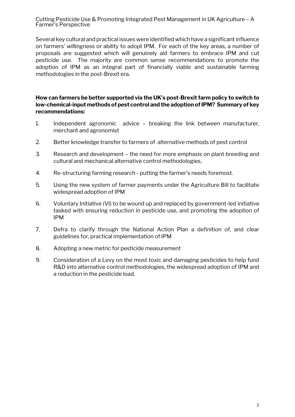Several key cultural and practical issues were identified which have a significant influence on farmers' willingness or ability to adopt IPM. For each of the key areas, a number of proposals are suggested which will genuinely aid farmers to embrace IPM and cut pesticide use. The majority are common sense recommendations to promote the adoption of IPM as an integral part of financially viable and sustainable farming methodologies in the post-Brexit era.

**How can farmers be better supported via the UK's post-Brexit farm policy to switch to low-chemical-input methods of pest control and the adoption of IPM? Summary of key recommendations:**

- 1. Independent agronomic advice breaking the link between manufacturer, merchant and agronomist
- 2. Better knowledge transfer to farmers of alternative methods of pest control
- 3. Research and development the need for more emphasis on plant breeding and cultural and mechanical alternative control methodologies,
- 4. Re-structuring farming research putting the farmer's needs foremost.
- 5. Using the new system of farmer payments under the Agriculture Bill to facilitate widespread adoption of IPM
- 6. Voluntary Initiative (VI) to be wound up and replaced by government-led initiative tasked with ensuring reduction in pesticide use, and promoting the adoption of IPM
- 7. Defra to clarify through the National Action Plan a definition of, and clear guidelines for, practical implementation of IPM
- 8. Adopting a new metric for pesticide measurement
- 9. Consideration of a Levy on the most toxic and damaging pesticides to help fund R&D into alternative control methodologies, the widespread adoption of IPM and a reduction in the pesticide load.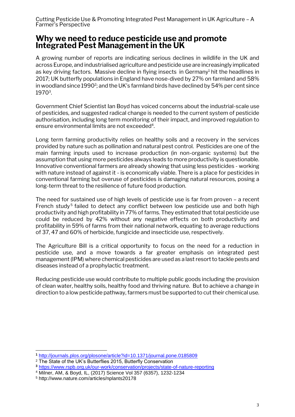## **Why we need to reduce pesticide use and promote Integrated Pest Management in the UK**

A growing number of reports are indicating serious declines in wildlife in the UK and across Europe, and industrialised agriculture and pesticide use are increasingly implicated as key driving factors. Massive decline in flying insects in Germany<sup>1</sup> hit the headlines in 2017; UK butterfly populations in England have nose-dived by 27% on farmland and 58% in woodland since  $1990^2$ ; and the UK's farmland birds have declined by 54% per cent since 1970<sup>3</sup> .

Government Chief Scientist Ian Boyd has voiced concerns about the industrial-scale use of pesticides, and suggested radical change is needed to the current system of pesticide authorisation, including long term monitoring of their impact, and improved regulation to ensure environmental limits are not exceeded<sup>4</sup>.

Long term farming productivity relies on healthy soils and a recovery in the services provided by nature such as pollination and natural pest control. Pesticides are one of the main farming inputs used to increase production (in non-organic systems) but the assumption that using more pesticides always leads to more productivity is questionable. Innovative conventional farmers are already showing that using less pesticides - working with nature instead of against it - is economically viable. There is a place for pesticides in conventional farming but overuse of pesticides is damaging natural resources, posing a long-term threat to the resilience of future food production.

The need for sustained use of high levels of pesticide use is far from proven – a recent French study<sup>5</sup> failed to detect any conflict between low pesticide use and both high productivity and high profitability in 77% of farms. They estimated that total pesticide use could be reduced by 42% without any negative effects on both productivity and profitability in 59% of farms from their national network, equating to average reductions of 37, 47 and 60% of herbicide, fungicide and insecticide use, respectively.

The Agriculture Bill is a critical opportunity to focus on the need for a reduction in pesticide use, and a move towards a far greater emphasis on integrated pest management (IPM) where chemical pesticides are used as a last resort to tackle pests and diseases instead of a prophylactic treatment.

Reducing pesticide use would contribute to multiple public goods including the provision of clean water, healthy soils, healthy food and thriving nature. But to achieve a change in direction to a low pesticide pathway, farmers must be supported to cut their chemical use.

-

**<sup>1</sup>** <http://journals.plos.org/plosone/article?id=10.1371/journal.pone.0185809>

<sup>&</sup>lt;sup>2</sup> The State of the UK's Butterflies 2015, Butterfly Conservation

**<sup>3</sup>** <https://www.rspb.org.uk/our-work/conservation/projects/state-of-nature-reporting>

<sup>4</sup> Milner, AM, & Boyd, IL, (2017) Science Vol 357 (6357), 1232-1234

<sup>5</sup> http://www.nature.com/articles/nplants20178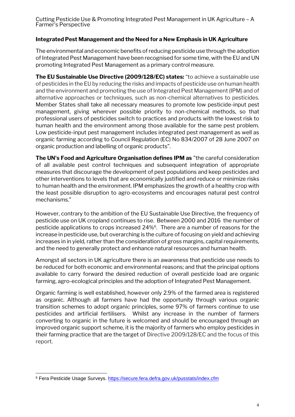## **Integrated Pest Management and the Need for a New Emphasis in UK Agriculture**

The environmental and economic benefits of reducing pesticide use through the adoption of Integrated Pest Management have been recognised for some time, with the EU and UN promoting Integrated Pest Management as a primary control measure.

**The EU Sustainable Use Directive (2009/128/EC) states:** "to achieve a sustainable use of pesticides in the EU by reducing the risks and impacts of pesticide use on human health and the environment and promoting the use of Integrated Pest Management (IPM) and of alternative approaches or techniques, such as non-chemical alternatives to pesticides. Member States shall take all necessary measures to promote low pesticide-input pest management, giving wherever possible priority to non-chemical methods, so that professional users of pesticides switch to practices and products with the lowest risk to human health and the environment among those available for the same pest problem. Low pesticide-input pest management includes integrated pest management as well as organic farming according to Council Regulation (EC) No 834/2007 of 28 June 2007 on organic production and labelling of organic products".

**The UN's Food and Agriculture Organisation defines IPM as** "the careful consideration of all available pest control techniques and subsequent integration of appropriate measures that discourage the development of pest populations and keep pesticides and other interventions to levels that are economically justified and reduce or minimize risks to human health and the environment. IPM emphasizes the growth of a healthy crop with the least possible disruption to agro-ecosystems and encourages natural pest control mechanisms."

However, contrary to the ambition of the EU Sustainable Use Directive, the frequency of pesticide use on UK cropland continues to rise. Between 2000 and 2016 the number of pesticide applications to crops increased 24%<sup>6</sup>. There are a number of reasons for the increase in pesticide use, but overarching is the culture of focusing on yield and achieving increases in in yield, rather than the consideration of gross margins, capital requirements, and the need to generally protect and enhance natural resources and human health.

Amongst all sectors in UK agriculture there is an awareness that pesticide use needs to be reduced for both economic and environmental reasons; and that the principal options available to carry forward the desired reduction of overall pesticide load are organic farming, agro-ecological principles and the adoption of Integrated Pest Management.

Organic farming is well established, however only 2.9% of the farmed area is registered as organic. Although all farmers have had the opportunity through various organic transition schemes to adopt organic principles, some 97% of farmers continue to use pesticides and artificial fertilisers. Whilst any increase in the number of farmers converting to organic in the future is welcomed and should be encouraged through an improved organic support scheme, it is the majority of farmers who employ pesticides in their farming practice that are the target of Directive 2009/128/EC and the focus of this report.

<sup>-</sup><sup>6</sup> Fera Pesticide Usage Surveys. https://secure.fera.defra.gov.uk/pusstats/index.cfm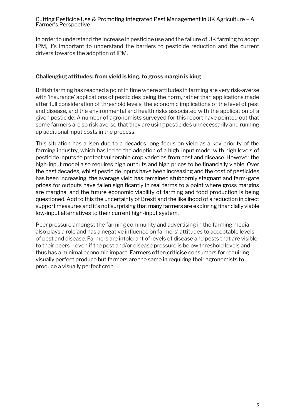In order to understand the increase in pesticide use and the failure of UK farming to adopt IPM, it's important to understand the barriers to pesticide reduction and the current drivers towards the adoption of IPM.

#### **Challenging attitudes: from yield is king, to gross margin is king**

British farming has reached a point in time where attitudes in farming are very risk-averse with 'insurance' applications of pesticides being the norm, rather than applications made after full consideration of threshold levels, the economic implications of the level of pest and disease, and the environmental and health risks associated with the application of a given pesticide. A number of agronomists surveyed for this report have pointed out that some farmers are so risk averse that they are using pesticides unnecessarily and running up additional input costs in the process.

This situation has arisen due to a decades-long focus on yield as a key priority of the farming industry, which has led to the adoption of a high-input model with high levels of pesticide inputs to protect vulnerable crop varieties from pest and disease. However the high-input model also requires high outputs and high prices to be financially viable. Over the past decades, whilst pesticide inputs have been increasing and the cost of pesticides has been increasing, the average yield has remained stubbornly stagnant and farm-gate prices for outputs have fallen significantly in real terms to a point where gross margins are marginal and the future economic viability of farming and food production is being questioned. Add to this the uncertainty of Brexit and the likelihood of a reduction in direct support measures and it's not surprising that many farmers are exploring financially viable low-input alternatives to their current high-input system.

Peer pressure amongst the farming community and advertising in the farming media also plays a role and has a negative influence on farmers' attitudes to acceptable levels of pest and disease. Farmers are intolerant of levels of disease and pests that are visible to their peers – even if the pest and/or disease pressure is below threshold levels and thus has a minimal economic impact. Farmers often criticise consumers for requiring visually perfect produce but farmers are the same in requiring their agronomists to produce a visually perfect crop.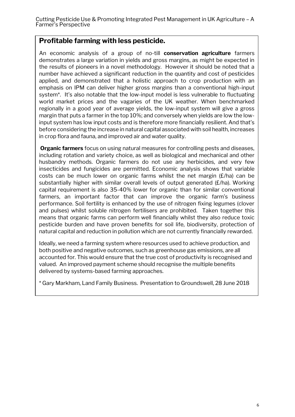## **Profitable farming with less pesticide.**

An economic analysis of a group of no-till **conservation agriculture** farmers demonstrates a large variation in yields and gross margins, as might be expected in the results of pioneers in a novel methodology. However it should be noted that a number have achieved a significant reduction in the quantity and cost of pesticides applied, and demonstrated that a holistic approach to crop production with an emphasis on IPM can deliver higher gross margins than a conventional high-input system\*. It's also notable that the low-input model is less vulnerable to fluctuating world market prices and the vagaries of the UK weather. When benchmarked regionally in a good year of average yields, the low-input system will give a gross margin that puts a farmer in the top 10%; and conversely when yields are low the lowinput system has low input costs and is therefore more financially resilient. And that's before considering the increase in natural capital associated with soil health, increases in crop flora and fauna, and improved air and water quality.

**Organic farmers** focus on using natural measures for controlling pests and diseases, including rotation and variety choice, as well as biological and mechanical and other husbandry methods. Organic farmers do not use any herbicides, and very few insecticides and fungicides are permitted. Economic analysis shows that variable costs can be much lower on organic farms whilst the net margin (£/ha) can be substantially higher with similar overall levels of output generated (£/ha). Working capital requirement is also 35-40% lower for organic than for similar conventional farmers, an important factor that can improve the organic farm's business performance. Soil fertility is enhanced by the use of nitrogen fixing legumes (clover and pulses) whilst soluble nitrogen fertilisers are prohibited. Taken together this means that organic farms can perform well financially whilst they also reduce toxic pesticide burden and have proven benefits for soil life, biodiversity, protection of natural capital and reduction in pollution which are not currently financially rewarded.

Ideally, we need a farming system where resources used to achieve production, and both positive and negative outcomes, such as greenhouse gas emissions, are all accounted for. This would ensure that the true cost of productivity is recognised and valued. An improved payment scheme should recognise the multiple benefits delivered by systems-based farming approaches.

\* Gary Markham, Land Family Business. Presentation to Groundswell, 28 June 2018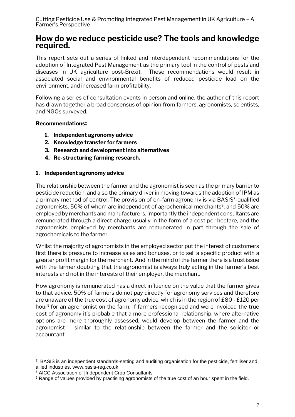## **How do we reduce pesticide use? The tools and knowledge required.**

This report sets out a series of linked and interdependent recommendations for the adoption of Integrated Pest Management as the primary tool in the control of pests and diseases in UK agriculture post-Brexit. These recommendations would result in associated social and environmental benefits of reduced pesticide load on the environment, and increased farm profitability.

Following a series of consultation events in person and online, the author of this report has drawn together a broad consensus of opinion from farmers, agronomists, scientists, and NGOs surveyed.

## **Recommendations:**

- **1. Independent agronomy advice**
- **2. Knowledge transfer for farmers**
- **3. Research and development into alternatives**
- **4. Re-structuring farming research.**

#### **1. Independent agronomy advice**

The relationship between the farmer and the agronomist is seen as the primary barrier to pesticide reduction; and also the primary driver in moving towards the adoption of IPM as a primary method of control. The provision of on-farm agronomy is via BASIS<sup>7</sup>-qualified agronomists, 50% of whom are independent of agrochemical merchants<sup>8</sup>; and 50% are employed by merchants and manufacturers. Importantly the independent consultants are remunerated through a direct charge usually in the form of a cost per hectare, and the agronomists employed by merchants are remunerated in part through the sale of agrochemicals to the farmer.

Whilst the majority of agronomists in the employed sector put the interest of customers first there is pressure to increase sales and bonuses, or to sell a specific product with a greater profit margin for the merchant. And in the mind of the farmer there is a trust issue with the farmer doubting that the agronomist is always truly acting in the farmer's best interests and not in the interests of their employer, the merchant.

How agronomy is remunerated has a direct influence on the value that the farmer gives to that advice. 50% of farmers do not pay directly for agronomy services and therefore are unaware of the true cost of agronomy advice, which is in the region of £80 - £120 per hour<sup>9</sup> for an agronomist on the farm. If farmers recognised and were invoiced the true cost of agronomy it's probable that a more professional relationship, where alternative options are more thoroughly assessed, would develop between the farmer and the agronomist – similar to the relationship between the farmer and the solicitor or accountant

-

 $7$  BASIS is an independent standards-setting and auditing organisation for the pesticide, fertiliser and allied industries. www.basis-reg.co.uk

<sup>8</sup> AICC Association of |Independent Crop Consultants

<sup>&</sup>lt;sup>9</sup> Range of values provided by practising agronomists of the true cost of an hour spent in the field.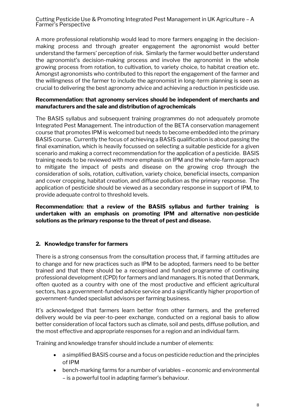A more professional relationship would lead to more farmers engaging in the decisionmaking process and through greater engagement the agronomist would better understand the farmers' perception of risk. Similarly the farmer would better understand the agronomist's decision-making process and involve the agronomist in the whole growing process from rotation, to cultivation, to variety choice, to habitat creation etc. Amongst agronomists who contributed to this report the engagement of the farmer and the willingness of the farmer to include the agronomist in long-term planning is seen as crucial to delivering the best agronomy advice and achieving a reduction in pesticide use.

#### **Recommendation: that agronomy services should be independent of merchants and manufacturers and the sale and distribution of agrochemicals**

The BASIS syllabus and subsequent training programmes do not adequately promote Integrated Pest Management. The introduction of the BETA conservation management course that promotes IPM is welcomed but needs to become embedded into the primary BASIS course. Currently the focus of achieving a BASIS qualification is about passing the final examination, which is heavily focussed on selecting a suitable pesticide for a given scenario and making a correct recommendation for the application of a pesticide. BASIS training needs to be reviewed with more emphasis on IPM and the whole-farm approach to mitigate the impact of pests and disease on the growing crop through the consideration of soils, rotation, cultivation, variety choice, beneficial insects, companion and cover cropping, habitat creation, and diffuse pollution as the primary response. The application of pesticide should be viewed as a secondary response in support of IPM, to provide adequate control to threshold levels.

**Recommendation: that a review of the BASIS syllabus and further training is undertaken with an emphasis on promoting IPM and alternative non-pesticide solutions as the primary response to the threat of pest and disease.**

## **2. Knowledge transfer for farmers**

There is a strong consensus from the consultation process that, if farming attitudes are to change and for new practices such as IPM to be adopted, farmers need to be better trained and that there should be a recognised and funded programme of continuing professional development (CPD) for farmers and land managers. It is noted that Denmark, often quoted as a country with one of the most productive and efficient agricultural sectors, has a government-funded advice service and a significantly higher proportion of government-funded specialist advisors per farming business.

It's acknowledged that farmers learn better from other farmers, and the preferred delivery would be via peer-to-peer exchange, conducted on a regional basis to allow better consideration of local factors such as climate, soil and pests, diffuse pollution, and the most effective and appropriate responses for a region and an individual farm.

Training and knowledge transfer should include a number of elements:

- a simplified BASIS course and a focus on pesticide reduction and the principles of IPM
- bench-marking farms for a number of variables economic and environmental – is a powerful tool in adapting farmer's behaviour.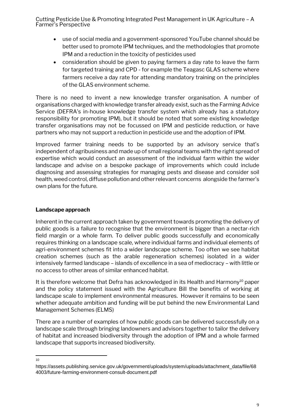- use of social media and a government-sponsored YouTube channel should be better used to promote IPM techniques, and the methodologies that promote IPM and a reduction in the toxicity of pesticides used
- consideration should be given to paying farmers a day rate to leave the farm for targeted training and CPD - for example the Teagasc GLAS scheme where farmers receive a day rate for attending mandatory training on the principles of the GLAS environment scheme.

There is no need to invent a new knowledge transfer organisation. A number of organisations charged with knowledge transfer already exist, such as the Farming Advice Service (DEFRA's in-house knowledge transfer system which already has a statutory responsibility for promoting IPM), but it should be noted that some existing knowledge transfer organisations may not be focussed on IPM and pesticide reduction, or have partners who may not support a reduction in pesticide use and the adoption of IPM.

Improved farmer training needs to be supported by an advisory service that's independent of agribusiness and made up of small regional teams with the right spread of expertise which would conduct an assessment of the individual farm within the wider landscape and advise on a bespoke package of improvements which could include diagnosing and assessing strategies for managing pests and disease and consider soil health, weed control, diffuse pollution and other relevant concerns alongside the farmer's own plans for the future.

## **Landscape approach**

Inherent in the current approach taken by government towards promoting the delivery of public goods is a failure to recognise that the environment is bigger than a nectar-rich field margin or a whole farm. To deliver public goods successfully and economically requires thinking on a landscape scale, where individual farms and individual elements of agri-environment schemes fit into a wider landscape scheme. Too often we see habitat creation schemes (such as the arable regeneration schemes) isolated in a wider intensively farmed landscape – islands of excellence in a sea of mediocracy – with little or no access to other areas of similar enhanced habitat.

It is therefore welcome that Defra has acknowledged in its Health and Harmony<sup>10</sup> paper and the policy statement issued with the Agriculture Bill the benefits of working at landscape scale to implement environmental measures. However it remains to be seen whether adequate ambition and funding will be put behind the new Environmental Land Management Schemes (ELMS)

There are a number of examples of how public goods can be delivered successfully on a landscape scale through bringing landowners and advisors together to tailor the delivery of habitat and increased biodiversity through the adoption of IPM and a whole farmed landscape that supports increased biodiversity.

## $\frac{1}{10}$

https://assets.publishing.service.gov.uk/government/uploads/system/uploads/attachment\_data/file/68 4003/future-farming-environment-consult-document.pdf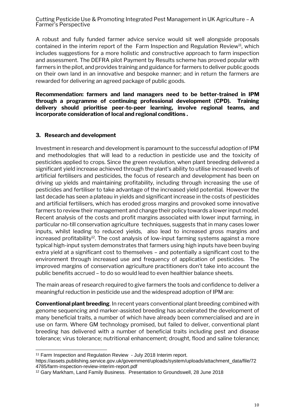A robust and fully funded farmer advice service would sit well alongside proposals contained in the interim report of the Farm Inspection and Regulation Review<sup>11</sup>, which includes suggestions for a more holistic and constructive approach to farm inspection and assessment. The DEFRA pilot Payment by Results scheme has proved popular with farmers in the pilot, and provides training and guidance for farmers to deliver public goods on their own land in an innovative and bespoke manner; and in return the farmers are rewarded for delivering an agreed package of public goods.

**Recommendation: farmers and land managers need to be better-trained in IPM through a programme of continuing professional development (CPD). Training delivery should prioritise peer-to-peer learning, involve regional teams, and incorporate consideration of local and regional conditions .** 

#### **3. Research and development**

Investment in research and development is paramount to the successful adoption of IPM and methodologies that will lead to a reduction in pesticide use and the toxicity of pesticides applied to crops. Since the green revolution, when plant breeding delivered a significant yield increase achieved through the plant's ability to utilise increased levels of artificial fertilisers and pesticides, the focus of research and development has been on driving up yields and maintaining profitability, including through increasing the use of pesticides and fertiliser to take advantage of the increased yield potential. However the last decade has seen a plateau in yields and significant increase in the costs of pesticides and artificial fertilisers, which has eroded gross margins and provoked some innovative farmers to review their management and change their policy towards a lower input model. Recent analysis of the costs and profit margins associated with lower input farming, in particular no-till conservation agriculture techniques, suggests that in many cases lower inputs, whilst leading to reduced yields, also lead to increased gross margins and increased profitability<sup>12</sup>. The cost analysis of low-input farming systems against a more typical high-input system demonstrates that farmers using high inputs have been buying extra yield at a significant cost to themselves – and potentially a significant cost to the environment through increased use and frequency of application of pesticides. The improved margins of conservation agriculture practitioners don't take into account the public benefits accrued – to do so would lead to even healthier balance sheets.

The main areas of research required to give farmers the tools and confidence to deliver a meaningful reduction in pesticide use and the widespread adoption of IPM are:

**Conventional plant breeding**. In recent years conventional plant breeding combined with genome sequencing and marker-assisted breeding has accelerated the development of many beneficial traits, a number of which have already been commercialised and are in use on farm. Where GM technology promised, but failed to deliver, conventional plant breeding has delivered with a number of beneficial traits including pest and disease tolerance; virus tolerance; nutritional enhancement; drought, flood and saline tolerance;

<sup>-</sup><sup>11</sup> Farm Inspection and Regulation Review - July 2018 Interim report.

https://assets.publishing.service.gov.uk/government/uploads/system/uploads/attachment\_data/file/72 4785/farm-inspection-review-interim-report.pdf

<sup>12</sup> Gary Markham, Land Family Business. Presentation to Groundswell, 28 June 2018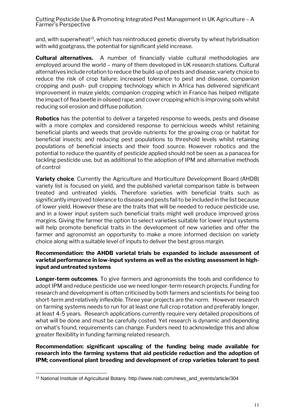and, with superwheat<sup>13</sup>, which has reintroduced genetic diversity by wheat hybridisation with wild goatgrass, the potential for significant yield increase.

**Cultural alternatives.** A number of financially viable cultural methodologies are employed around the world – many of them developed in UK research stations. Cultural alternatives include rotation to reduce the build-up of pests and disease; variety choice to reduce the risk of crop failure; increased tolerance to pest and disease, companion cropping and push- pull cropping technology which in Africa has delivered significant improvement in maize yields; companion cropping which in France has helped mitigate the impact of flea beetle in oilseed rape; and cover cropping which is improving soils whilst reducing soil erosion and diffuse pollution.

**Robotics** has the potential to deliver a targeted response to weeds, pests and disease with a more complex and considered response to pernicious weeds whilst retaining beneficial plants and weeds that provide nutrients for the growing crop or habitat for beneficial insects; and reducing pest populations to threshold levels whilst retaining populations of beneficial insects and their food source. However robotics and the potential to reduce the quantity of pesticide applied should not be seen as a panacea for tackling pesticide use, but as additional to the adoption of IPM and alternative methods of control

**Variety choice**. Currently the Agriculture and Horticulture Development Board (AHDB) variety list is focused on yield, and the published varietal comparison table is between treated and untreated yields. Therefore varieties with beneficial traits such as significantly improved tolerance to disease and pests fail to be included in the list because of lower yield. However these are the traits that will be needed to reduce pesticide use, and in a lower input system such beneficial traits might well produce improved gross margins. Giving the farmer the option to select varieties suitable for lower input systems will help promote beneficial traits in the development of new varieties and offer the farmer and agronomist an opportunity to make a more informed decision on variety choice along with a suitable level of inputs to deliver the best gross margin.

## **Recommendation: the AHDB varietal trials be expanded to include assessment of varietal performance in low-input systems as well as the existing assessment in highinput and untreated systems**

**Longer-term outcomes**. To give farmers and agronomists the tools and confidence to adopt IPM and reduce pesticide use we need longer-term research projects. Funding for research and development is often criticised by both farmers and scientists for being too short-term and relatively inflexible. Three year projects are the norm. However research on farming systems needs to run for at least one full crop rotation and preferably longer, at least 4-5 years. Research applications currently require very detailed propositions of what will be done and must be carefully costed. Yet research is dynamic and depending on what's found, requirements can change. Funders need to acknowledge this and allow greater flexibility in funding farming related research.

**Recommendation: significant upscaling of the funding being made available for research into the farming systems that aid pesticide reduction and the adoption of IPM; conventional plant breeding and development of crop varieties tolerant to pest** 

<sup>-</sup><sup>13</sup> National Institute of Agricultural Botany. http://www.niab.com/news\_and\_events/article/304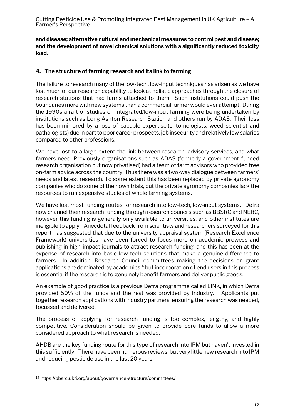**and disease; alternative cultural and mechanical measures to control pest and disease; and the development of novel chemical solutions with a significantly reduced toxicity load.** 

## **4. The structure of farming research and its link to farming**

The failure to research many of the low-tech, low-input techniques has arisen as we have lost much of our research capability to look at holistic approaches through the closure of research stations that had farms attached to them. Such institutions could push the boundaries more with new systems than a commercial farmer would ever attempt. During the 1990s a raft of studies on integrated/low-input farming were being undertaken by institutions such as Long Ashton Research Station and others run by ADAS. Their loss has been mirrored by a loss of capable expertise (entomologists, weed scientist and pathologists) due in part to poor career prospects, job insecurity and relatively low salaries compared to other professions.

We have lost to a large extent the link between research, advisory services, and what farmers need. Previously organisations such as ADAS (formerly a government-funded research organisation but now privatised) had a team of farm advisors who provided free on-farm advice across the country. Thus there was a two-way dialogue between farmers' needs and latest research. To some extent this has been replaced by private agronomy companies who do some of their own trials, but the private agronomy companies lack the resources to run expensive studies of whole farming systems.

We have lost most funding routes for research into low-tech, low-input systems. Defra now channel their research funding through research councils such as BBSRC and NERC, however this funding is generally only available to universities, and other institutes are ineligible to apply. Anecdotal feedback from scientists and researchers surveyed for this report has suggested that due to the university appraisal system (Research Excellence Framework) universities have been forced to focus more on academic prowess and publishing in high-impact journals to attract research funding, and this has been at the expense of research into basic low-tech solutions that make a genuine difference to farmers. In addition, Research Council committees making the decisions on grant applications are dominated by academics $14$  but incorporation of end users in this process is essential if the research is to genuinely benefit farmers and deliver public goods.

An example of good practice is a previous Defra programme called LINK, in which Defra provided 50% of the funds and the rest was provided by Industry. Applicants put together research applications with industry partners, ensuring the research was needed, focussed and delivered.

The process of applying for research funding is too complex, lengthy, and highly competitive. Consideration should be given to provide core funds to allow a more considered approach to what research is needed.

AHDB are the key funding route for this type of research into IPM but haven't invested in this sufficiently. There have been numerous reviews, but very little new research into IPM and reducing pesticide use in the last 20 years

<sup>-</sup><sup>14</sup> https://bbsrc.ukri.org/about/governance-structure/committees/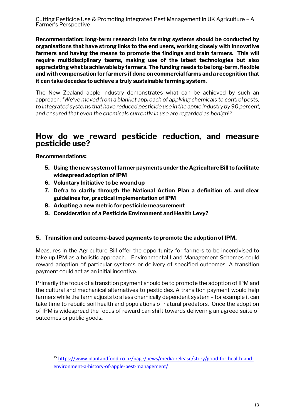**Recommendation: long-term research into farming systems should be conducted by organisations that have strong links to the end users, working closely with innovative farmers and having the means to promote the findings and train farmers. This will require multidisciplinary teams, making use of the latest technologies but also appreciating what is achievable by farmers. The funding needs to be long-term, flexible and with compensation for farmers if done on commercial farms and a recognition that it can take decades to achieve a truly sustainable farming system**.

The New Zealand apple industry demonstrates what can be achieved by such an approach:*"We've moved from a blanket approach of applying chemicals to control pests, to integrated systems that have reduced pesticide use in the apple industry by 90 percent, and ensured that even the chemicals currently in use are regarded as benign<sup>15</sup>*

## **How do we reward pesticide reduction, and measure pesticide use?**

**Recommendations:** 

-

- **5. Using the new system of farmer payments under the Agriculture Bill to facilitate widespread adoption of IPM**
- **6. Voluntary Initiative to be wound up**
- **7. Defra to clarify through the National Action Plan a definition of, and clear guidelines for, practical implementation of IPM**
- **8. Adopting a new metric for pesticide measurement**
- **9. Consideration of a Pesticide Environment and Health Levy?**

## **5. Transition and outcome-based payments to promote the adoption of IPM.**

Measures in the Agriculture Bill offer the opportunity for farmers to be incentivised to take up IPM as a holistic approach. Environmental Land Management Schemes could reward adoption of particular systems or delivery of specified outcomes. A transition payment could act as an initial incentive.

Primarily the focus of a transition payment should be to promote the adoption of IPM and the cultural and mechanical alternatives to pesticides. A transition payment would help farmers while the farm adjusts to a less chemically dependent system – for example it can take time to rebuild soil health and populations of natural predators. Once the adoption of IPM is widespread the focus of reward can shift towards delivering an agreed suite of outcomes or public goods**.**

<sup>15</sup> [https://www.plantandfood.co.nz/page/news/media-release/story/good-for-health-and](https://www.plantandfood.co.nz/page/news/media-release/story/good-for-health-and-environment-a-history-of-apple-pest-management/)[environment-a-history-of-apple-pest-management/](https://www.plantandfood.co.nz/page/news/media-release/story/good-for-health-and-environment-a-history-of-apple-pest-management/)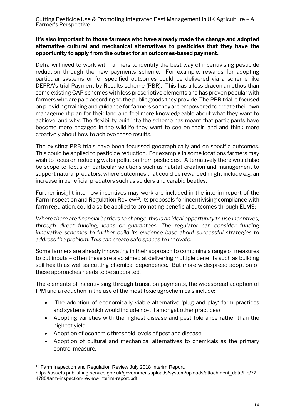## **It's also important to those farmers who have already made the change and adopted alternative cultural and mechanical alternatives to pesticides that they have the opportunity to apply from the outset for an outcomes-based payment.**

Defra will need to work with farmers to identify the best way of incentivising pesticide reduction through the new payments scheme. For example, rewards for adopting particular systems or for specified outcomes could be delivered via a scheme like DEFRA's trial Payment by Results scheme (PBR). This has a less draconian ethos than some existing CAP schemes with less prescriptive elements and has proven popular with farmers who are paid according to the public goods they provide. The PBR trial is focused on providing training and guidance for farmers so they are empowered to create their own management plan for their land and feel more knowledgeable about what they want to achieve, and why. The flexibility built into the scheme has meant that participants have become more engaged in the wildlife they want to see on their land and think more creatively about how to achieve these results.

The existing PRB trials have been focussed geographically and on specific outcomes. This could be applied to pesticide reduction. For example in some locations farmers may wish to focus on reducing water pollution from pesticides. Alternatively there would also be scope to focus on particular solutions such as habitat creation and management to support natural predators, where outcomes that could be rewarded might include e.g. an increase in beneficial predators such as spiders and carabid beetles.

Further insight into how incentives may work are included in the interim report of the Farm Inspection and Regulation Review<sup>16</sup>. Its proposals for incentivising compliance with farm regulation, could also be applied to promoting beneficial outcomes through ELMS:

*Where there are financial barriers to change, this is an ideal opportunity to use incentives, through direct funding, loans or guarantees. The regulator can consider funding innovative schemes to further build its evidence base about successful strategies to address the problem. This can create safe spaces to innovate.*

Some farmers are already innovating in their approach to combining a range of measures to cut inputs – often these are also aimed at delivering multiple benefits such as building soil health as well as cutting chemical dependence. But more widespread adoption of these approaches needs to be supported.

The elements of incentivising through transition payments, the widespread adoption of IPM and a reduction in the use of the most toxic agrochemicals include:

- The adoption of economically-viable alternative 'plug-and-play' farm practices and systems (which would include no-till amongst other practices)
- Adopting varieties with the highest disease and pest tolerance rather than the highest yield
- Adoption of economic threshold levels of pest and disease
- Adoption of cultural and mechanical alternatives to chemicals as the primary control measure.

<sup>-</sup><sup>16</sup> Farm Inspection and Regulation Review July 2018 Interim Report.

https://assets.publishing.service.gov.uk/government/uploads/system/uploads/attachment\_data/file/72 4785/farm-inspection-review-interim-report.pdf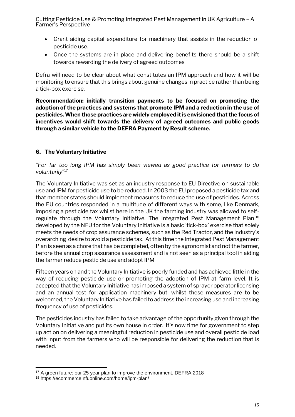- Grant aiding capital expenditure for machinery that assists in the reduction of pesticide use.
- Once the systems are in place and delivering benefits there should be a shift towards rewarding the delivery of agreed outcomes

Defra will need to be clear about what constitutes an IPM approach and how it will be monitoring to ensure that this brings about genuine changes in practice rather than being a tick-box exercise.

**Recommendation: initially transition payments to be focused on promoting the adoption of the practices and systems that promote IPM and a reduction in the use of pesticides. When those practices are widely employed it is envisioned that the focus of incentives would shift towards the delivery of agreed outcomes and public goods through a similar vehicle to the DEFRA Payment by Result scheme.**

## **6. The Voluntary Initiative**

"*For far too long IPM has simply been viewed as good practice for farmers to do voluntarily*" 17

The Voluntary Initiative was set as an industry response to EU Directive on sustainable use and IPM for pesticide use to be reduced. In 2003 the EU proposed a pesticide tax and that member states should implement measures to reduce the use of pesticides. Across the EU countries responded in a multitude of different ways with some, like Denmark, imposing a pesticide tax whilst here in the UK the farming industry was allowed to selfregulate through the Voluntary Initiative. The Integrated Pest Management Plan<sup>18</sup> developed by the NFU for the Voluntary Initiative is a basic 'tick-box' exercise that solely meets the needs of crop assurance schemes, such as the Red Tractor, and the industry's overarching desire to avoid a pesticide tax. At this time the Integrated Pest Management Plan is seen as a chore that has be completed, often by the agronomist and not the farmer, before the annual crop assurance assessment and is not seen as a principal tool in aiding the farmer reduce pesticide use and adopt IPM

Fifteen years on and the Voluntary Initiative is poorly funded and has achieved little in the way of reducing pesticide use or promoting the adoption of IPM at farm level. It is accepted that the Voluntary Initiative has imposed a system of sprayer operator licensing and an annual test for application machinery but, whilst these measures are to be welcomed, the Voluntary Initiative has failed to address the increasing use and increasing frequency of use of pesticides.

The pesticides industry has failed to take advantage of the opportunity given through the Voluntary Initiative and put its own house in order. It's now time for government to step up action on delivering a meaningful reduction in pesticide use and overall pesticide load with input from the farmers who will be responsible for delivering the reduction that is needed.

-

<sup>17</sup> A green future: our 25 year plan to improve the environment. DEFRA 2018

<sup>18</sup> https://ecommerce.nfuonline.com/home/ipm-plan/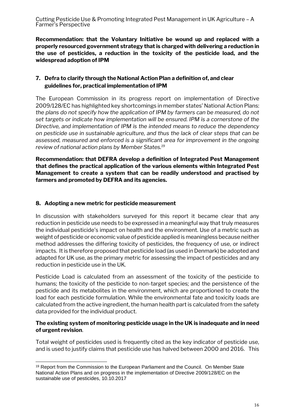**Recommendation: that the Voluntary Initiative be wound up and replaced with a properly resourced government strategy that is charged with delivering a reduction in the use of pesticides, a reduction in the toxicity of the pesticide load, and the widespread adoption of IPM**

## **7. Defra to clarify through the National Action Plan a definition of, and clear guidelines for, practical implementation of IPM**

The European Commission in its progress report on implementation of Directive 2009/128/EC has highlighted key shortcomings in member states' National Action Plans: *the plans do not specify how the application of IPM by farmers can be measured, do not set targets or indicate how implementation will be ensured. IPM is a cornerstone of the Directive, and implementation of IPM is the intended means to reduce the dependency on pesticide use in sustainable agriculture, and thus the lack of clear steps that can be assessed, measured and enforced is a significant area for improvement in the ongoing review of national action plans by Member States.<sup>19</sup>*

**Recommendation: that DEFRA develop a definition of Integrated Pest Management that defines the practical application of the various elements within Integrated Pest Management to create a system that can be readily understood and practised by farmers and promoted by DEFRA and its agencies.**

## **8. Adopting a new metric for pesticide measurement**

In discussion with stakeholders surveyed for this report it became clear that any reduction in pesticide use needs to be expressed in a meaningful way that truly measures the individual pesticide's impact on health and the environment. Use of a metric such as weight of pesticide or economic value of pesticide applied is meaningless because neither method addresses the differing toxicity of pesticides, the frequency of use, or indirect impacts. It is therefore proposed that pesticide load (as used in Denmark) be adopted and adapted for UK use, as the primary metric for assessing the impact of pesticides and any reduction in pesticide use in the UK.

Pesticide Load is calculated from an assessment of the toxicity of the pesticide to humans; the toxicity of the pesticide to non-target species; and the persistence of the pesticide and its metabolites in the environment, which are proportioned to create the load for each pesticide formulation. While the environmental fate and toxicity loads are calculated from the active ingredient, the human health part is calculated from the safety data provided for the individual product.

## **The existing system of monitoring pesticide usage in the UK is inadequate and in need of urgent revision**.

Total weight of pesticides used is frequently cited as the key indicator of pesticide use, and is used to justify claims that pesticide use has halved between 2000 and 2016. This

<sup>-</sup><sup>19</sup> Report from the Commission to the European Parliament and the Council. On Member State National Action Plans and on progress in the implementation of Directive 2009/128/EC on the sustainable use of pesticides, 10.10.2017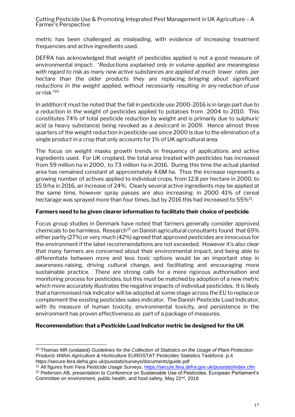metric has been challenged as misleading, with evidence of increasing treatment frequencies and active ingredients used.

DEFRA has acknowledged that weight of pesticides applied is not a good measure of environmental impact: *"Reductions explained only in volume applied are meaningless with regard to risk as many new active substances are applied at much lower rates per hectare than the older products they are replacing, bringing about significant reductions in the weight applied, without necessarily resulting in any reduction of use or risk."<sup>20</sup>*

In addition it must be noted that the fall in pesticide use 2000-2016 is in large part due to a reduction in the weight of pesticides applied to potatoes from 2004 to 2010. This constitutes 74% of total pesticide reduction by weight and is primarily due to sulphuric acid (a heavy substance) being revoked as a desiccant in 2009. Hence almost three quarters of the weight reduction in pesticide use since 2000 is due to the elimination of a single product in a crop that only accounts for 1% of UK agricultural area.

The focus on weight masks growth trends in frequency of applications and active ingredients used. For UK cropland, the total area treated with pesticides has increased from 59 million ha in 2000, to 73 million ha in 2016. During this time the actual planted area has remained constant at approximately 4.6M ha. Thus the increase represents a growing number of actives applied to individual crops, from 12.8 per hectare in 2000, to 15.9/ha in 2016, an increase of 24%. Clearly several active ingredients may be applied at the same time, however spray passes are also increasing: in 2000 41% of cereal hectarage was sprayed more than four times, but by 2016 this had increased to 55% $^{21}$ .

#### **Farmers need to be given clearer information to facilitate their choice of pesticide**.

Focus group studies in Denmark have noted that farmers generally consider approved chemicals to be harmless. Research<sup>22</sup> on Danish agricultural consultants found that  $69\%$ either partly (27%) or very much (42%) agreed that approved pesticides are innocuous for the environment if the label recommendations are not exceeded. However it's also clear that many farmers are concerned about their environmental impact, and being able to differentiate between more and less toxic options would be an important step in awareness-raising, driving cultural change, and facilitating and encouraging more sustainable practice. There are strong calls for a more rigorous authorisation and monitoring process for pesticides, but this must be matched by adoption of a new metric which more accurately illustrates the negative impacts of individual pesticides. It is likely that a harmonised risk indicator will be adopted at some stage across the EU to replace or complement the existing pesticides sales indicator. The Danish Pesticide Load Indicator, with its measure of human toxicity, environmental toxicity, and persistence in the environment has proven effectiveness as part of a package of measures.

#### **Recommendation: that a Pesticide Load Indicator metric be designed for the UK**

 $\overline{a}$ 

<sup>20</sup> Thomas MR (undated) *Guidelines for the Collection of Statistics on the Usage of Plant Protection Products Within Agriculture & Horticulture* EUROSTAT Pesticides Statistics Taskforce. p.4 https://secure.fera.defra.gov.uk/pusstats/surveys/documents/guide.pdf

<sup>21</sup> All figures from Fera Pesticide Usage Surveys.<https://secure.fera.defra.gov.uk/pusstats/index.cfm>

<sup>&</sup>lt;sup>22</sup> Pedersen AB, presentation to Conference on Sustainable Use of Pesticides, European Parliament's Committee on environment, public health, and food safety, May 22<sup>nd</sup>, 2018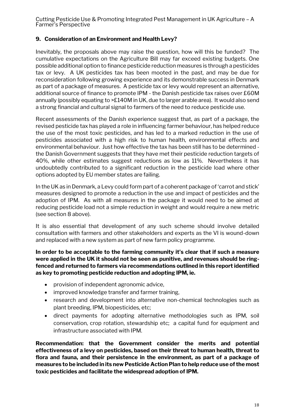## **9. Consideration of an Environment and Health Levy?**

Inevitably, the proposals above may raise the question, how will this be funded? The cumulative expectations on the Agriculture Bill may far exceed existing budgets. One possible additional option to finance pesticide reduction measures is through a pesticides tax or levy. A UK pesticides tax has been mooted in the past, and may be due for reconsideration following growing experience and its demonstrable success in Denmark as part of a package of measures. A pesticide tax or levy would represent an alternative, additional source of finance to promote IPM - the Danish pesticide tax raises over £60M annually (possibly equating to >£140M in UK, due to larger arable area). It would also send a strong financial and cultural signal to farmers of the need to reduce pesticide use.

Recent assessments of the Danish experience suggest that, as part of a package, the revised pesticide tax has played a role in influencing farmer behaviour, has helped reduce the use of the most toxic pesticides, and has led to a marked reduction in the use of pesticides associated with a high risk to human health, environmental effects and environmental behaviour. Just how effective the tax has been still has to be determined the Danish Government suggests that they have met their pesticide reduction targets of 40%, while other estimates suggest reductions as low as 11%. Nevertheless it has undoubtedly contributed to a significant reduction in the pesticide load where other options adopted by EU member states are failing.

In the UK as in Denmark, a Levy could form part of a coherent package of 'carrot and stick' measures designed to promote a reduction in the use and impact of pesticides and the adoption of IPM. As with all measures in the package it would need to be aimed at reducing pesticide load not a simple reduction in weight and would require a new metric (see section 8 above).

It is also essential that development of any such scheme should involve detailed consultation with farmers and other stakeholders and experts as the VI is wound-down and replaced with a new system as part of new farm policy programme.

**In order to be acceptable to the farming community it's clear that if such a measure were applied in the UK it should not be seen as punitive, and revenues should be ringfenced and returned to farmers via recommendations outlined in this report identified as key to promoting pesticide reduction and adopting IPM, ie.**

- provision of independent agronomic advice,
- improved knowledge transfer and farmer training,
- research and development into alternative non-chemical technologies such as plant breeding, IPM, biopesticides, etc;
- direct payments for adopting alternative methodologies such as IPM, soil conservation, crop rotation, stewardship etc; a capital fund for equipment and infrastructure associated with IPM.

**Recommendation: that the Government consider the merits and potential effectiveness of a levy on pesticides, based on their threat to human health, threat to flora and fauna, and their persistence in the environment, as part of a package of measures to be included in its new Pesticide Action Plan to help reduce use of the most toxic pesticides and facilitate the widespread adoption of IPM.**